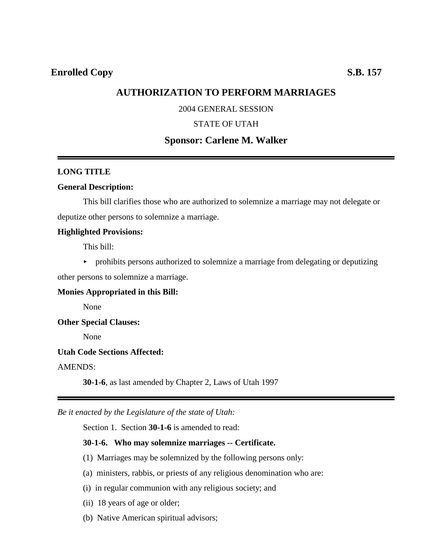# **AUTHORIZATION TO PERFORM MARRIAGES**

## 2004 GENERAL SESSION

### STATE OF UTAH

# **Sponsor: Carlene M. Walker**

#### **LONG TITLE**

#### **General Description:**

This bill clarifies those who are authorized to solemnize a marriage may not delegate or deputize other persons to solemnize a marriage.

#### **Highlighted Provisions:**

This bill:

 $\rightarrow$  prohibits persons authorized to solemnize a marriage from delegating or deputizing

other persons to solemnize a marriage.

## **Monies Appropriated in this Bill:**

None

**Other Special Clauses:**

None

## **Utah Code Sections Affected:**

## AMENDS:

**30-1-6**, as last amended by Chapter 2, Laws of Utah 1997

*Be it enacted by the Legislature of the state of Utah:*

Section 1. Section **30-1-6** is amended to read:

#### **30-1-6. Who may solemnize marriages -- Certificate.**

- (1) Marriages may be solemnized by the following persons only:
- (a) ministers, rabbis, or priests of any religious denomination who are:
- (i) in regular communion with any religious society; and
- (ii) 18 years of age or older;
- (b) Native American spiritual advisors;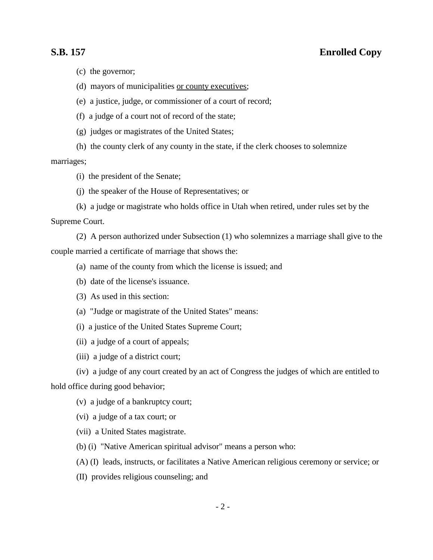# **S.B. 157 Enrolled Copy**

(c) the governor;

(d) mayors of municipalities or county executives;

(e) a justice, judge, or commissioner of a court of record;

(f) a judge of a court not of record of the state;

(g) judges or magistrates of the United States;

(h) the county clerk of any county in the state, if the clerk chooses to solemnize

marriages;

(i) the president of the Senate;

(j) the speaker of the House of Representatives; or

(k) a judge or magistrate who holds office in Utah when retired, under rules set by the Supreme Court.

(2) A person authorized under Subsection (1) who solemnizes a marriage shall give to the couple married a certificate of marriage that shows the:

- (a) name of the county from which the license is issued; and
- (b) date of the license's issuance.
- (3) As used in this section:
- (a) "Judge or magistrate of the United States" means:
- (i) a justice of the United States Supreme Court;
- (ii) a judge of a court of appeals;
- (iii) a judge of a district court;
- (iv) a judge of any court created by an act of Congress the judges of which are entitled to

hold office during good behavior;

- (v) a judge of a bankruptcy court;
- (vi) a judge of a tax court; or
- (vii) a United States magistrate.
- (b) (i) "Native American spiritual advisor" means a person who:
- (A) (I) leads, instructs, or facilitates a Native American religious ceremony or service; or
- (II) provides religious counseling; and